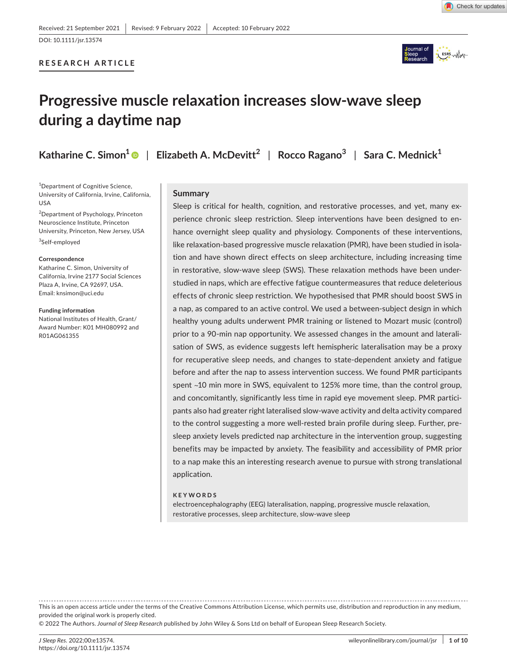Check for updates

# **RESEARCH ARTICLE**



# **Progressive muscle relaxation increases slow-wave sleep during a daytime nap**

**Katharine C. Simon[1](https://orcid.org/0000-0001-8149-4636)** | **Elizabeth A. McDevitt<sup>2</sup>** | **Rocco Ragano<sup>3</sup>** | **Sara C. Mednick1**

<sup>1</sup>Department of Cognitive Science, University of California, Irvine, California, USA

<sup>2</sup>Department of Psychology, Princeton Neuroscience Institute, Princeton University, Princeton, New Jersey, USA 3 Self-employed

#### **Correspondence**

Katharine C. Simon, University of California, Irvine 2177 Social Sciences Plaza A, Irvine, CA 92697, USA. Email: [knsimon@uci.edu](mailto:knsimon@uci.edu)

**Funding information**

National Institutes of Health, Grant/ Award Number: K01 MH080992 and R01AG061355

## **Summary**

Sleep is critical for health, cognition, and restorative processes, and yet, many experience chronic sleep restriction. Sleep interventions have been designed to enhance overnight sleep quality and physiology. Components of these interventions, like relaxation-based progressive muscle relaxation (PMR), have been studied in isolation and have shown direct effects on sleep architecture, including increasing time in restorative, slow-wave sleep (SWS). These relaxation methods have been understudied in naps, which are effective fatigue countermeasures that reduce deleterious effects of chronic sleep restriction. We hypothesised that PMR should boost SWS in a nap, as compared to an active control. We used a between-subject design in which healthy young adults underwent PMR training or listened to Mozart music (control) prior to a 90-min nap opportunity. We assessed changes in the amount and lateralisation of SWS, as evidence suggests left hemispheric lateralisation may be a proxy for recuperative sleep needs, and changes to state-dependent anxiety and fatigue before and after the nap to assess intervention success. We found PMR participants spent ~10 min more in SWS, equivalent to 125% more time, than the control group, and concomitantly, significantly less time in rapid eye movement sleep. PMR participants also had greater right lateralised slow-wave activity and delta activity compared to the control suggesting a more well-rested brain profile during sleep. Further, presleep anxiety levels predicted nap architecture in the intervention group, suggesting benefits may be impacted by anxiety. The feasibility and accessibility of PMR prior to a nap make this an interesting research avenue to pursue with strong translational application.

#### **KEYWORDS**

electroencephalography (EEG) lateralisation, napping, progressive muscle relaxation, restorative processes, sleep architecture, slow-wave sleep

This is an open access article under the terms of the Creative Commons [Attribution](http://creativecommons.org/licenses/by/4.0/) License, which permits use, distribution and reproduction in any medium, provided the original work is properly cited.

© 2022 The Authors. *Journal of Sleep Research* published by John Wiley & Sons Ltd on behalf of European Sleep Research Society.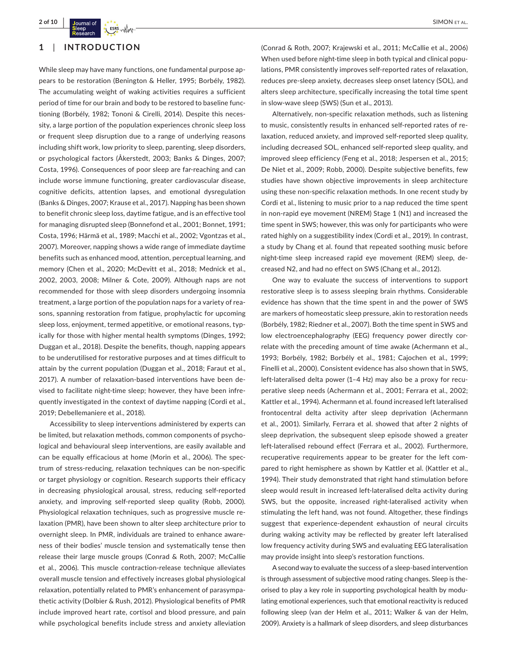

## **1**  | **INTRODUCTION**

While sleep may have many functions, one fundamental purpose appears to be restoration (Benington & Heller, 1995; Borbély, 1982). The accumulating weight of waking activities requires a sufficient period of time for our brain and body to be restored to baseline functioning (Borbély, 1982; Tononi & Cirelli, 2014). Despite this necessity, a large portion of the population experiences chronic sleep loss or frequent sleep disruption due to a range of underlying reasons including shift work, low priority to sleep, parenting, sleep disorders, or psychological factors (Åkerstedt, 2003; Banks & Dinges, 2007; Costa, 1996). Consequences of poor sleep are far-reaching and can include worse immune functioning, greater cardiovascular disease, cognitive deficits, attention lapses, and emotional dysregulation (Banks & Dinges, 2007; Krause et al., 2017). Napping has been shown to benefit chronic sleep loss, daytime fatigue, and is an effective tool for managing disrupted sleep (Bonnefond et al., 2001; Bonnet, 1991; Costa, 1996; Härmä et al., 1989; Macchi et al., 2002; Vgontzas et al., 2007). Moreover, napping shows a wide range of immediate daytime benefits such as enhanced mood, attention, perceptual learning, and memory (Chen et al., 2020; McDevitt et al., 2018; Mednick et al., 2002, 2003, 2008; Milner & Cote, 2009). Although naps are not recommended for those with sleep disorders undergoing insomnia treatment, a large portion of the population naps for a variety of reasons, spanning restoration from fatigue, prophylactic for upcoming sleep loss, enjoyment, termed appetitive, or emotional reasons, typically for those with higher mental health symptoms (Dinges, 1992; Duggan et al., 2018). Despite the benefits, though, napping appears to be underutilised for restorative purposes and at times difficult to attain by the current population (Duggan et al., 2018; Faraut et al., 2017). A number of relaxation-based interventions have been devised to facilitate night-time sleep; however, they have been infrequently investigated in the context of daytime napping (Cordi et al., 2019; Debellemaniere et al., 2018).

Accessibility to sleep interventions administered by experts can be limited, but relaxation methods, common components of psychological and behavioural sleep interventions, are easily available and can be equally efficacious at home (Morin et al., 2006). The spectrum of stress-reducing, relaxation techniques can be non-specific or target physiology or cognition. Research supports their efficacy in decreasing physiological arousal, stress, reducing self-reported anxiety, and improving self-reported sleep quality (Robb, 2000). Physiological relaxation techniques, such as progressive muscle relaxation (PMR), have been shown to alter sleep architecture prior to overnight sleep. In PMR, individuals are trained to enhance awareness of their bodies' muscle tension and systematically tense then release their large muscle groups (Conrad & Roth, 2007; McCallie et al., 2006). This muscle contraction-release technique alleviates overall muscle tension and effectively increases global physiological relaxation, potentially related to PMR's enhancement of parasympathetic activity (Dolbier & Rush, 2012). Physiological benefits of PMR include improved heart rate, cortisol and blood pressure, and pain while psychological benefits include stress and anxiety alleviation

(Conrad & Roth, 2007; Krajewski et al., 2011; McCallie et al., 2006) When used before night-time sleep in both typical and clinical populations, PMR consistently improves self-reported rates of relaxation, reduces pre-sleep anxiety, decreases sleep onset latency (SOL), and alters sleep architecture, specifically increasing the total time spent in slow-wave sleep (SWS) (Sun et al., 2013).

Alternatively, non-specific relaxation methods, such as listening to music, consistently results in enhanced self-reported rates of relaxation, reduced anxiety, and improved self-reported sleep quality, including decreased SOL, enhanced self-reported sleep quality, and improved sleep efficiency (Feng et al., 2018; Jespersen et al., 2015; De Niet et al., 2009; Robb, 2000). Despite subjective benefits, few studies have shown objective improvements in sleep architecture using these non-specific relaxation methods. In one recent study by Cordi et al., listening to music prior to a nap reduced the time spent in non-rapid eye movement (NREM) Stage 1 (N1) and increased the time spent in SWS; however, this was only for participants who were rated highly on a suggestibility index (Cordi et al., 2019). In contrast, a study by Chang et al. found that repeated soothing music before night-time sleep increased rapid eye movement (REM) sleep, decreased N2, and had no effect on SWS (Chang et al., 2012).

One way to evaluate the success of interventions to support restorative sleep is to assess sleeping brain rhythms. Considerable evidence has shown that the time spent in and the power of SWS are markers of homeostatic sleep pressure, akin to restoration needs (Borbély, 1982; Riedner et al., 2007). Both the time spent in SWS and low electroencephalography (EEG) frequency power directly correlate with the preceding amount of time awake (Achermann et al., 1993; Borbély, 1982; Borbély et al., 1981; Cajochen et al., 1999; Finelli et al., 2000). Consistent evidence has also shown that in SWS, left-lateralised delta power (1–4 Hz) may also be a proxy for recuperative sleep needs (Achermann et al., 2001; Ferrara et al., 2002; Kattler et al., 1994). Achermann et al. found increased left lateralised frontocentral delta activity after sleep deprivation (Achermann et al., 2001). Similarly, Ferrara et al. showed that after 2 nights of sleep deprivation, the subsequent sleep episode showed a greater left-lateralised rebound effect (Ferrara et al., 2002). Furthermore, recuperative requirements appear to be greater for the left compared to right hemisphere as shown by Kattler et al. (Kattler et al., 1994). Their study demonstrated that right hand stimulation before sleep would result in increased left-lateralised delta activity during SWS, but the opposite, increased right-lateralised activity when stimulating the left hand, was not found. Altogether, these findings suggest that experience-dependent exhaustion of neural circuits during waking activity may be reflected by greater left lateralised low frequency activity during SWS and evaluating EEG lateralisation may provide insight into sleep's restoration functions.

Asecond way to evaluate the success of a sleep-based intervention is through assessment of subjective mood rating changes. Sleep is theorised to play a key role in supporting psychological health by modulating emotional experiences, such that emotional reactivity is reduced following sleep (van der Helm et al., 2011; Walker & van der Helm, 2009). Anxiety is a hallmark of sleep disorders, and sleep disturbances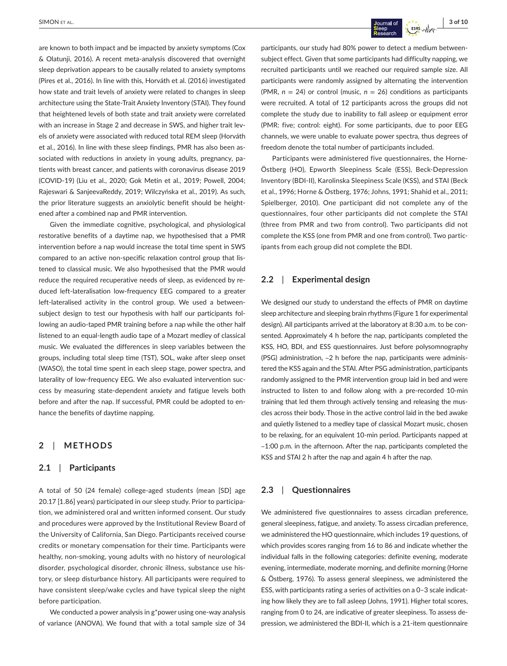are known to both impact and be impacted by anxiety symptoms (Cox & Olatunji, 2016). A recent meta-analysis discovered that overnight sleep deprivation appears to be causally related to anxiety symptoms (Pires et al., 2016). In line with this, Horváth et al. (2016) investigated how state and trait levels of anxiety were related to changes in sleep architecture using the State-Trait Anxiety Inventory (STAI). They found that heightened levels of both state and trait anxiety were correlated with an increase in Stage 2 and decrease in SWS, and higher trait levels of anxiety were associated with reduced total REM sleep (Horváth et al., 2016). In line with these sleep findings, PMR has also been associated with reductions in anxiety in young adults, pregnancy, patients with breast cancer, and patients with coronavirus disease 2019 (COVID-19) (Liu et al., 2020; Gok Metin et al., 2019; Powell, 2004; Rajeswari & SanjeevaReddy, 2019; Wilczyńska et al., 2019). As such, the prior literature suggests an anxiolytic benefit should be heightened after a combined nap and PMR intervention.

Given the immediate cognitive, psychological, and physiological restorative benefits of a daytime nap, we hypothesised that a PMR intervention before a nap would increase the total time spent in SWS compared to an active non-specific relaxation control group that listened to classical music. We also hypothesised that the PMR would reduce the required recuperative needs of sleep, as evidenced by reduced left-lateralisation low-frequency EEG compared to a greater left-lateralised activity in the control group. We used a betweensubject design to test our hypothesis with half our participants following an audio-taped PMR training before a nap while the other half listened to an equal-length audio tape of a Mozart medley of classical music. We evaluated the differences in sleep variables between the groups, including total sleep time (TST), SOL, wake after sleep onset (WASO), the total time spent in each sleep stage, power spectra, and laterality of low-frequency EEG. We also evaluated intervention success by measuring state-dependent anxiety and fatigue levels both before and after the nap. If successful, PMR could be adopted to enhance the benefits of daytime napping.

## **2**  | **METHODS**

#### **2.1**  | **Participants**

A total of 50 (24 female) college-aged students (mean [SD] age 20.17 [1.86] years) participated in our sleep study. Prior to participation, we administered oral and written informed consent. Our study and procedures were approved by the Institutional Review Board of the University of California, San Diego. Participants received course credits or monetary compensation for their time. Participants were healthy, non-smoking, young adults with no history of neurological disorder, psychological disorder, chronic illness, substance use history, or sleep disturbance history. All participants were required to have consistent sleep/wake cycles and have typical sleep the night before participation.

We conducted a power analysis in g\*power using one-way analysis of variance (ANOVA). We found that with a total sample size of 34

participants, our study had 80% power to detect a medium betweensubject effect. Given that some participants had difficulty napping, we recruited participants until we reached our required sample size. All participants were randomly assigned by alternating the intervention (PMR, *n* = 24) or control (music, *n* = 26) conditions as participants were recruited. A total of 12 participants across the groups did not complete the study due to inability to fall asleep or equipment error (PMR: five; control: eight). For some participants, due to poor EEG channels, we were unable to evaluate power spectra, thus degrees of freedom denote the total number of participants included.

Participants were administered five questionnaires, the Horne-Östberg (HO), Epworth Sleepiness Scale (ESS), Beck-Depression Inventory (BDI-II), Karolinska Sleepiness Scale (KSS), and STAI (Beck et al., 1996; Horne & Östberg, 1976; Johns, 1991; Shahid et al., 2011; Spielberger, 2010). One participant did not complete any of the questionnaires, four other participants did not complete the STAI (three from PMR and two from control). Two participants did not complete the KSS (one from PMR and one from control). Two participants from each group did not complete the BDI.

## **2.2**  | **Experimental design**

We designed our study to understand the effects of PMR on daytime sleep architecture and sleeping brain rhythms (Figure 1 for experimental design). All participants arrived at the laboratory at 8:30 a.m. to be consented. Approximately 4 h before the nap, participants completed the KSS, HO, BDI, and ESS questionnaires. Just before polysomnography (PSG) administration, ~2 h before the nap, participants were administered the KSS again and the STAI.After PSG administration, participants randomly assigned to the PMR intervention group laid in bed and were instructed to listen to and follow along with a pre-recorded 10-min training that led them through actively tensing and releasing the muscles across their body. Those in the active control laid in the bed awake and quietly listened to a medley tape of classical Mozart music, chosen to be relaxing, for an equivalent 10-min period. Participants napped at  $\sim$ 1:00 p.m. in the afternoon. After the nap, participants completed the KSS and STAI 2 h after the nap and again 4 h after the nap.

### **2.3**  | **Questionnaires**

We administered five questionnaires to assess circadian preference, general sleepiness, fatigue, and anxiety. To assess circadian preference, we administered the HO questionnaire, which includes 19 questions, of which provides scores ranging from 16 to 86 and indicate whether the individual falls in the following categories: definite evening, moderate evening, intermediate, moderate morning, and definite morning (Horne & Östberg, 1976). To assess general sleepiness, we administered the ESS, with participants rating a series of activities on a 0–3 scale indicating how likely they are to fall asleep (Johns, 1991). Higher total scores, ranging from 0 to 24, are indicative of greater sleepiness. To assess depression, we administered the BDI-II, which is a 21-item questionnaire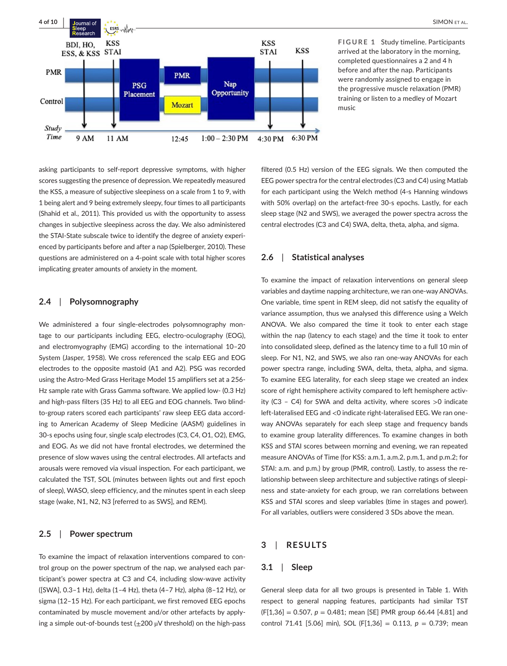

**FIGURE 1** Study timeline. Participants arrived at the laboratory in the morning, completed questionnaires a 2 and 4 h before and after the nap. Participants were randomly assigned to engage in the progressive muscle relaxation (PMR) training or listen to a medley of Mozart music

asking participants to self-report depressive symptoms, with higher scores suggesting the presence of depression. We repeatedly measured the KSS, a measure of subjective sleepiness on a scale from 1 to 9, with 1 being alert and 9 being extremely sleepy, four times to all participants (Shahid et al., 2011). This provided us with the opportunity to assess changes in subjective sleepiness across the day. We also administered the STAI-State subscale twice to identify the degree of anxiety experienced by participants before and after a nap (Spielberger, 2010). These questions are administered on a 4-point scale with total higher scores implicating greater amounts of anxiety in the moment.

## **2.4**  | **Polysomnography**

We administered a four single-electrodes polysomnography montage to our participants including EEG, electro-oculography (EOG), and electromyography (EMG) according to the international 10–20 System (Jasper, 1958). We cross referenced the scalp EEG and EOG electrodes to the opposite mastoid (A1 and A2). PSG was recorded using the Astro-Med Grass Heritage Model 15 amplifiers set at a 256- Hz sample rate with Grass Gamma software. We applied low- (0.3 Hz) and high-pass filters (35 Hz) to all EEG and EOG channels. Two blindto-group raters scored each participants' raw sleep EEG data according to American Academy of Sleep Medicine (AASM) guidelines in 30-s epochs using four, single scalp electrodes (C3, C4, O1, O2), EMG, and EOG. As we did not have frontal electrodes, we determined the presence of slow waves using the central electrodes. All artefacts and arousals were removed via visual inspection. For each participant, we calculated the TST, SOL (minutes between lights out and first epoch of sleep), WASO, sleep efficiency, and the minutes spent in each sleep stage (wake, N1, N2, N3 [referred to as SWS], and REM).

## **2.5**  | **Power spectrum**

To examine the impact of relaxation interventions compared to control group on the power spectrum of the nap, we analysed each participant's power spectra at C3 and C4, including slow-wave activity ([SWA], 0.3–1 Hz), delta (1–4 Hz), theta (4–7 Hz), alpha (8–12 Hz), or sigma (12–15 Hz). For each participant, we first removed EEG epochs contaminated by muscle movement and/or other artefacts by applying a simple out-of-bounds test  $(\pm 200 \mu V)$  threshold) on the high-pass

filtered (0.5 Hz) version of the EEG signals. We then computed the EEG power spectra for the central electrodes (C3 and C4) using Matlab for each participant using the Welch method (4-s Hanning windows with 50% overlap) on the artefact-free 30-s epochs. Lastly, for each sleep stage (N2 and SWS), we averaged the power spectra across the central electrodes (C3 and C4) SWA, delta, theta, alpha, and sigma.

## **2.6**  | **Statistical analyses**

To examine the impact of relaxation interventions on general sleep variables and daytime napping architecture, we ran one-wayANOVAs. One variable, time spent in REM sleep, did not satisfy the equality of variance assumption, thus we analysed this difference using a Welch ANOVA. We also compared the time it took to enter each stage within the nap (latency to each stage) and the time it took to enter into consolidated sleep, defined as the latency time to a full 10 min of sleep. For N1, N2, and SWS, we also ran one-way ANOVAs for each power spectra range, including SWA, delta, theta, alpha, and sigma. To examine EEG laterality, for each sleep stage we created an index score of right hemisphere activity compared to left hemisphere activity (C3 – C4) for SWA and delta activity, where scores >0 indicate left-lateralised EEG and <0 indicate right-lateralised EEG. We ran oneway ANOVAs separately for each sleep stage and frequency bands to examine group laterality differences. To examine changes in both KSS and STAI scores between morning and evening, we ran repeated measure ANOVAs of Time (for KSS: a.m.1, a.m.2, p.m.1, and p.m.2; for STAI: a.m. and p.m.) by group (PMR, control). Lastly, to assess the relationship between sleep architecture and subjective ratings of sleepiness and state-anxiety for each group, we ran correlations between KSS and STAI scores and sleep variables (time in stages and power). For all variables, outliers were considered 3 SDs above the mean.

#### **3**  | **RESULTS**

#### **3.1**  | **Sleep**

General sleep data for all two groups is presented in Table 1. With respect to general napping features, participants had similar TST  $(F[1,36] = 0.507, p = 0.481;$  mean [SE] PMR group 66.44 [4.81] and control 71.41 [5.06] min), SOL (F[1,36] = 0.113, *p* = 0.739; mean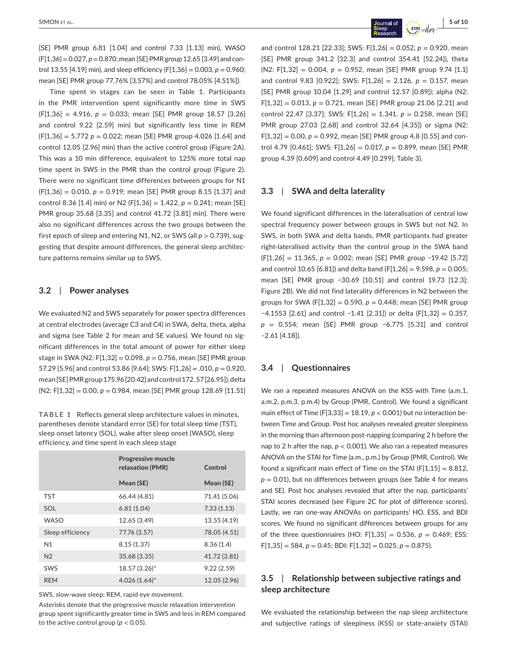[SE] PMR group 6.81 [1.04] and control 7.33 [1.13] min), WASO (F[1,36]=0.027, *p*=0.870; mean [SE] PMRgroup 12.65 [3.49] and control 13.55 [4.19] min), and sleep efficiency  $(F[1,36] = 0.003, p = 0.960;$ mean [SE] PMR group 77.76% [3.57%] and control 78.05% [4.51%]).

Time spent in stages can be seen in Table 1. Participants in the PMR intervention spent significantly more time in SWS (F[1,36] = 4.916, *p* = 0.033; mean [SE] PMR group 18.57 [3.26] and control 9.22 [2.59] min) but significantly less time in REM (F[1,36] = 5.772 *p* = 0.022; mean [SE] PMR group 4.026 [1.64] and control 12.05 [2.96] min) than the active control group (Figure 2A). This was a 10 min difference, equivalent to 125% more total nap time spent in SWS in the PMR than the control group (Figure 2). There were no significant time differences between groups for N1 (F[1,36] = 0.010, *p* = 0.919; mean [SE] PMR group 8.15 [1.37] and control 8.36 [1.4] min) or N2 (F[1,36] = 1.422, *p* = 0.241; mean [SE] PMR group 35.68 [3.35] and control 41.72 [3.81] min). There were also no significant differences across the two groups between the first epoch of sleep and entering N1, N2, or SWS (all *p* > 0.739), suggesting that despite amount differences, the general sleep architecture patterns remains similar up to SWS.

## **3.2**  | **Power analyses**

We evaluated N2 and SWS separately for power spectra differences at central electrodes (average C3 and C4) in SWA, delta, theta, alpha and sigma (see Table 2 for mean and SE values). We found no significant differences in the total amount of power for either sleep stage in SWA (N2: F[1,32] = 0.098, *p* = 0.756, mean [SE] PMR group 57.29 [5.96] and control 53.86 [9.64]; SWS: F[1,26] = .010, *p* = 0.920, mean[SE]PMRgroup175.96[20.42]andcontrol172.57[26.95]),delta (N2: F[1,32] = 0.00, *p* = 0.984, mean [SE] PMR group 128.69 [11.51]

**TABLE 1** Reflects general sleep architecture values in minutes, parentheses denote standard error (SE) for total sleep time (TST), sleep onset latency (SOL), wake after sleep onset (WASO), sleep efficiency, and time spent in each sleep stage

|                  | Progressive muscle<br>relaxation (PMR) | Control      |
|------------------|----------------------------------------|--------------|
|                  | Mean (SE)                              | Mean (SE)    |
| TST              | 66.44 (4.81)                           | 71.41 (5.06) |
| <b>SOL</b>       | 6.81(1.04)                             | 7.33(1.13)   |
| <b>WASO</b>      | 12.65 (3.49)                           | 13.55 (4.19) |
| Sleep efficiency | 77.76 (3.57)                           | 78.05 (4.51) |
| N <sub>1</sub>   | 8.15(1.37)                             | 8.36(1.4)    |
| N <sub>2</sub>   | 35.68 (3.35)                           | 41.72 (3.81) |
| SWS              | 18.57 (3.26)*                          | 9.22(2.59)   |
| <b>REM</b>       | $4.026(1.64)^{*}$                      | 12.05 (2.96) |
|                  |                                        |              |

SWS, slow-wave sleep; REM, rapid eye movement.

Asterisks denote that the progressive muscle relaxation intervention group spent significantly greater time in SWS and less in REM compared to the active control group ( $p < 0.05$ ).

and control 128.21 [22.33]; SWS: F[1,26] = 0.052, *p* = 0.920, mean [SE] PMR group 341.2 [32.3] and control 354.41 [52.24]), theta (N2: F[1,32] = 0.004, *p* = 0.952, mean [SE] PMR group 9.74 [1.1] and control 9.83 [0.922]; SWS: F[1,26] = 2.126, *p* = 0.157, mean [SE] PMR group 10.04 [1.29] and control 12.57 [0.89]); alpha (N2:  $F[1,32] = 0.013$ ,  $p = 0.721$ , mean [SE] PMR group 21.06 [2.21] and control 22.47 [3.37]; SWS: F[1,26] = 1.341, *p* = 0.258, mean [SE] PMR group 27.03 [2.68] and control 32.64 [4.35]) or sigma (N2: F[1,32] = 0.00, *p* = 0.992, mean [SE] PMR group 4.8 [0.55] and control 4.79 [0.461]; SWS: F[1,26] = 0.017, *p* = 0.899, mean [SE] PMR group 4.39 [0.609] and control 4.49 [0.299]; Table 3).

#### **3.3**  | **SWA and delta laterality**

We found significant differences in the lateralisation of central low spectral frequency power between groups in SWS but not N2. In SWS, in both SWA and delta bands, PMR participants had greater right-lateralised activity than the control group in the SWA band (F[1,26] = 11.365, *p* = 0.002; mean [SE] PMR group −19.42 [5.72] and control 10.65 [6.81]) and delta band (F[1,26] = 9.598, *p* = 0.005; mean [SE] PMR group −30.69 [10.51] and control 19.73 [12.3]; Figure 2B). We did not find laterality differences in N2 between the groups for SWA (F[1,32] = 0.590,  $p = 0.448$ ; mean [SE] PMR group −4.1553 [2.61] and control −1.41 [2.31]) or delta (F[1,32] = 0.357, *p* = 0.554; mean [SE] PMR group −6.775 [5.31] and control –2.61 [4.18]).

## **3.4**  | **Questionnaires**

We ran a repeated measures ANOVA on the KSS with Time (a.m.1, a.m.2, p.m.3, p.m.4) by Group (PMR, Control). We found a significant main effect of Time (F[3,33] =  $18.19$ ,  $p < 0.001$ ) but no interaction between Time and Group. Post hoc analyses revealed greater sleepiness in the morning than afternoon post-napping (comparing 2 h before the nap to 2 h after the nap, *p* < 0.001). We also ran a repeated measures ANOVA on the STAI for Time (a.m., p.m.) by Group (PMR, Control). We found a significant main effect of Time on the STAI ( $F[1,15] = 8.812$ ,  $p = 0.01$ ), but no differences between groups (see Table 4 for means and SE). Post hoc analyses revealed that after the nap, participants' STAI scores decreased (see Figure 2C for plot of difference scores). Lastly, we ran one-way ANOVAs on participants' HO, ESS, and BDI scores. We found no significant differences between groups for any of the three questionnaires (HO: F[1,35] = 0.536,  $p = 0.469$ ; ESS:  $F[1,35] = 584, p = 0.45$ ; BDI:  $F[1,32] = 0.025, p = 0.875$ ).

# **3.5**  | **Relationship between subjective ratings and sleep architecture**

We evaluated the relationship between the nap sleep architecture and subjective ratings of sleepiness (KSS) or state-anxiety (STAI)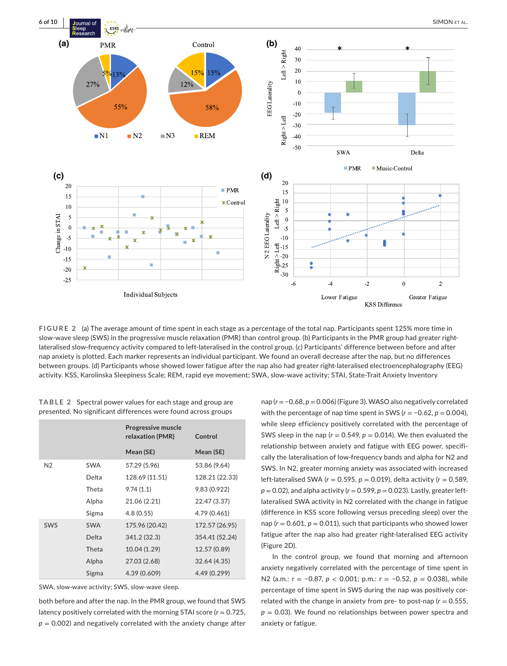

**FIGURE 2** (a) The average amount of time spent in each stage as a percentage of the total nap. Participants spent 125% more time in slow-wave sleep (SWS) in the progressive muscle relaxation (PMR) than control group. (b) Participants in the PMR group had greater rightlateralised slow-frequency activity compared to left-lateralised in the control group. (c) Participants' difference between before and after nap anxiety is plotted. Each marker represents an individual participant. We found an overall decrease after the nap, but no differences between groups. (d) Participants whose showed lower fatigue after the nap also had greater right-lateralised electroencephalography (EEG) activity. KSS, Karolinska Sleepiness Scale; REM, rapid eye movement; SWA, slow-wave activity; STAI, State-Trait Anxiety Inventory

| TABLE 2 Spectral power values for each stage and group are     |
|----------------------------------------------------------------|
| presented. No significant differences were found across groups |

|                |            | <b>Progressive muscle</b><br>relaxation (PMR) | Control        |
|----------------|------------|-----------------------------------------------|----------------|
|                |            | Mean (SE)                                     | Mean (SE)      |
| N <sub>2</sub> | <b>SWA</b> | 57.29 (5.96)                                  | 53.86 (9.64)   |
|                | Delta      | 128.69 (11.51)                                | 128.21 (22.33) |
|                | Theta      | 9.74(1.1)                                     | 9.83 (0.922)   |
|                | Alpha      | 21.06 (2.21)                                  | 22.47 (3.37)   |
|                | Sigma      | 4.8(0.55)                                     | 4.79 (0.461)   |
| SWS            | <b>SWA</b> | 175.96 (20.42)                                | 172.57 (26.95) |
|                | Delta      | 341.2 (32.3)                                  | 354.41 (52.24) |
|                | Theta      | 10.04 (1.29)                                  | 12.57 (0.89)   |
|                | Alpha      | 27.03 (2.68)                                  | 32.64 (4.35)   |
|                | Sigma      | 4.39 (0.609)                                  | 4.49 (0.299)   |

SWA, slow-wave activity; SWS, slow-wave sleep.

both before and after the nap. In the PMR group, we found that SWS latency positively correlated with the morning STAI score  $(r = 0.725,$  $p = 0.002$ ) and negatively correlated with the anxiety change after nap (*r* = −0.68, *p* = 0.006) (Figure 3). WASO also negatively correlated with the percentage of nap time spent in SWS (*r* = −0.62, *p* = 0.004), while sleep efficiency positively correlated with the percentage of SWS sleep in the nap ( $r = 0.549$ ,  $p = 0.014$ ). We then evaluated the relationship between anxiety and fatigue with EEG power, specifically the lateralisation of low-frequency bands and alpha for N2 and SWS. In N2, greater morning anxiety was associated with increased left-lateralised SWA (*r* = 0.595, *p* = 0.019), delta activity (*r* = 0.589,  $p = 0.02$ ), and alpha activity ( $r = 0.599$ ,  $p = 0.023$ ). Lastly, greater leftlateralised SWA activity in N2 correlated with the change in fatigue (difference in KSS score following versus preceding sleep) over the nap  $(r = 0.601, p = 0.011)$ , such that participants who showed lower fatigue after the nap also had greater right-lateralised EEG activity (Figure 2D).

In the control group, we found that morning and afternoon anxiety negatively correlated with the percentage of time spent in N2 (a.m.: *r* = −0.87, *p* < 0.001; p.m.: *r* = −0.52, *p* = 0.038), while percentage of time spent in SWS during the nap was positively correlated with the change in anxiety from pre- to post-nap ( $r = 0.555$ , *p* = 0.03). We found no relationships between power spectra and anxiety or fatigue.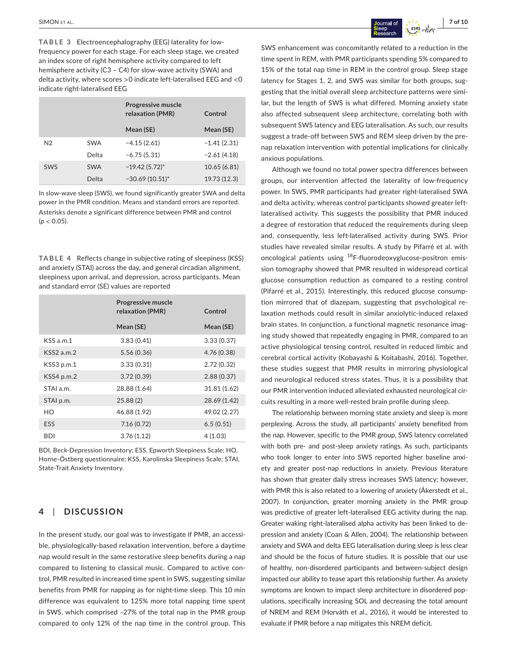**TABLE 3** Electroencephalography (EEG) laterality for lowfrequency power for each stage. For each sleep stage, we created an index score of right hemisphere activity compared to left hemisphere activity (C3 – C4) for slow-wave activity (SWA) and delta activity, where scores >0 indicate left-lateralised EEG and <0 indicate right-lateralised EEG

|                |            | Progressive muscle<br>relaxation (PMR) | Control       |
|----------------|------------|----------------------------------------|---------------|
|                |            | Mean (SE)                              | Mean (SE)     |
| N <sub>2</sub> | <b>SWA</b> | $-4.15(2.61)$                          | $-1.41(2.31)$ |
|                | Delta      | $-6.75(5.31)$                          | $-2.61(4.18)$ |
| SWS            | <b>SWA</b> | $-19.42(5.72)$ *                       | 10.65(6.81)   |
|                | Delta      | $-30.69(10.51)$ *                      | 19.73 (12.3)  |

In slow-wave sleep (SWS), we found significantly greater SWA and delta power in the PMR condition. Means and standard errors are reported. Asterisks denote a significant difference between PMR and control (*p* < 0.05).

**TABLE 4** Reflects change in subjective rating of sleepiness (KSS) and anxiety (STAI) across the day, and general circadian alignment, sleepiness upon arrival, and depression, across participants. Mean and standard error (SE) values are reported

|                 | Progressive muscle<br>relaxation (PMR) | Control      |
|-----------------|----------------------------------------|--------------|
|                 | Mean (SE)                              | Mean (SE)    |
| KSSa.m.1        | 3.83(0.41)                             | 3.33(0.37)   |
| $KSS2$ a.m. $2$ | 5.56(0.36)                             | 4.76(0.38)   |
| KSS3 p.m.1      | 3.33(0.31)                             | 2.72(0.32)   |
| KSS4 p.m.2      | 3.72(0.39)                             | 2.88(0.37)   |
| STAI a.m.       | 28.88 (1.64)                           | 31.81 (1.62) |
| STAI p.m.       | 25.88(2)                               | 28.69 (1.42) |
| HO              | 46.88 (1.92)                           | 49.02 (2.27) |
| <b>ESS</b>      | 7.16(0.72)                             | 6.5(0.51)    |
| <b>BDI</b>      | 3.76(1.12)                             | 4(1.03)      |

BDI, Beck-Depression Inventory; ESS, Epworth Sleepiness Scale; HO, Horne-Östberg questionnaire; KSS, Karolinska Sleepiness Scale; STAI, State-Trait Anxiety Inventory.

# **4**  | **DISCUSSION**

In the present study, our goal was to investigate if PMR, an accessible, physiologically-based relaxation intervention, before a daytime nap would result in the same restorative sleep benefits during a nap compared to listening to classical music. Compared to active control, PMR resulted in increased time spent in SWS, suggesting similar benefits from PMR for napping as for night-time sleep. This 10 min difference was equivalent to 125% more total napping time spent in SWS, which comprised ~27% of the total nap in the PMR group compared to only 12% of the nap time in the control group. This

SWS enhancement was concomitantly related to a reduction in the time spent in REM, with PMR participants spending 5% compared to 15% of the total nap time in REM in the control group. Sleep stage latency for Stages 1, 2, and SWS was similar for both groups, suggesting that the initial overall sleep architecture patterns were similar, but the length of SWS is what differed. Morning anxiety state also affected subsequent sleep architecture, correlating both with subsequent SWS latency and EEG lateralisation. As such, our results suggest a trade-off between SWS and REM sleep driven by the prenap relaxation intervention with potential implications for clinically anxious populations.

Although we found no total power spectra differences between groups, our intervention affected the laterality of low-frequency power. In SWS, PMR participants had greater right-lateralised SWA and delta activity, whereas control participants showed greater leftlateralised activity. This suggests the possibility that PMR induced a degree of restoration that reduced the requirements during sleep and, consequently, less left-lateralised activity during SWS. Prior studies have revealed similar results. A study by Pifarré et al. with oncological patients using <sup>18</sup>F-fluorodeoxyglucose-positron emission tomography showed that PMR resulted in widespread cortical glucose consumption reduction as compared to a resting control (Pifarré et al., 2015). Interestingly, this reduced glucose consumption mirrored that of diazepam, suggesting that psychological relaxation methods could result in similar anxiolytic-induced relaxed brain states. In conjunction, a functional magnetic resonance imaging study showed that repeatedly engaging in PMR, compared to an active physiological tensing control, resulted in reduced limbic and cerebral cortical activity (Kobayashi & Koitabashi, 2016). Together, these studies suggest that PMR results in mirroring physiological and neurological reduced stress states. Thus, it is a possibility that our PMR intervention induced alleviated exhausted neurological circuits resulting in a more well-rested brain profile during sleep.

The relationship between morning state anxiety and sleep is more perplexing. Across the study, all participants' anxiety benefited from the nap. However, specific to the PMR group, SWS latency correlated with both pre- and post-sleep anxiety ratings. As such, participants who took longer to enter into SWS reported higher baseline anxiety and greater post-nap reductions in anxiety. Previous literature has shown that greater daily stress increases SWS latency; however, with PMR this is also related to a lowering of anxiety (Åkerstedt et al., 2007). In conjunction, greater morning anxiety in the PMR group was predictive of greater left-lateralised EEG activity during the nap. Greater waking right-lateralised alpha activity has been linked to depression and anxiety (Coan & Allen, 2004). The relationship between anxiety and SWA and delta EEG lateralisation during sleep is less clear and should be the focus of future studies. It is possible that our use of healthy, non-disordered participants and between-subject design impacted our ability to tease apart this relationship further. As anxiety symptoms are known to impact sleep architecture in disordered populations, specifically increasing SOL and decreasing the total amount of NREM and REM (Horváth et al., 2016), it would be interested to evaluate if PMR before a nap mitigates this NREM deficit.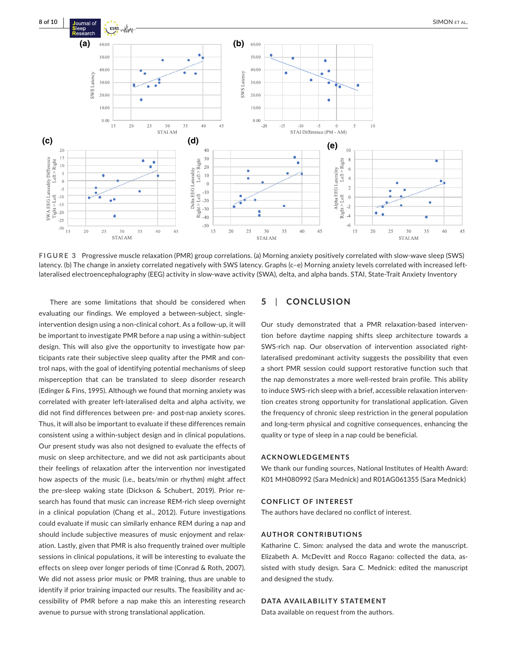

**FIGURE 3** Progressive muscle relaxation (PMR) group correlations. (a) Morning anxiety positively correlated with slow-wave sleep (SWS) latency. (b) The change in anxiety correlated negatively with SWS latency. Graphs (c–e) Morning anxiety levels correlated with increased leftlateralised electroencephalography (EEG) activity in slow-wave activity (SWA), delta, and alpha bands. STAI, State-Trait Anxiety Inventory

There are some limitations that should be considered when evaluating our findings. We employed a between-subject, singleintervention design using a non-clinical cohort. As a follow-up, it will be important to investigate PMR before a nap using a within-subject design. This will also give the opportunity to investigate how participants rate their subjective sleep quality after the PMR and control naps, with the goal of identifying potential mechanisms of sleep misperception that can be translated to sleep disorder research (Edinger & Fins, 1995). Although we found that morning anxiety was correlated with greater left-lateralised delta and alpha activity, we did not find differences between pre- and post-nap anxiety scores. Thus, it will also be important to evaluate if these differences remain consistent using a within-subject design and in clinical populations. Our present study was also not designed to evaluate the effects of music on sleep architecture, and we did not ask participants about their feelings of relaxation after the intervention nor investigated how aspects of the music (i.e., beats/min or rhythm) might affect the pre-sleep waking state (Dickson & Schubert, 2019). Prior research has found that music can increase REM-rich sleep overnight in a clinical population (Chang et al., 2012). Future investigations could evaluate if music can similarly enhance REM during a nap and should include subjective measures of music enjoyment and relaxation. Lastly, given that PMR is also frequently trained over multiple sessions in clinical populations, it will be interesting to evaluate the effects on sleep over longer periods of time (Conrad & Roth, 2007). We did not assess prior music or PMR training, thus are unable to identify if prior training impacted our results. The feasibility and accessibility of PMR before a nap make this an interesting research avenue to pursue with strong translational application.

## **5**  | **CONCLUSION**

Our study demonstrated that a PMR relaxation-based intervention before daytime napping shifts sleep architecture towards a SWS-rich nap. Our observation of intervention associated rightlateralised predominant activity suggests the possibility that even a short PMR session could support restorative function such that the nap demonstrates a more well-rested brain profile. This ability to induce SWS-rich sleep with a brief, accessible relaxation intervention creates strong opportunity for translational application. Given the frequency of chronic sleep restriction in the general population and long-term physical and cognitive consequences, enhancing the quality or type of sleep in a nap could be beneficial.

#### **ACKNOWLEDGEMENTS**

We thank our funding sources, National Institutes of Health Award: K01 MH080992 (Sara Mednick) and R01AG061355 (Sara Mednick)

#### **CONFLICT OF INTEREST**

The authors have declared no conflict of interest.

#### **AUTHOR CONTRIBUTIONS**

Katharine C. Simon: analysed the data and wrote the manuscript. Elizabeth A. McDevitt and Rocco Ragano: collected the data, assisted with study design. Sara C. Mednick: edited the manuscript and designed the study.

#### **DATA AVAILABILITY STATEMENT**

Data available on request from the authors.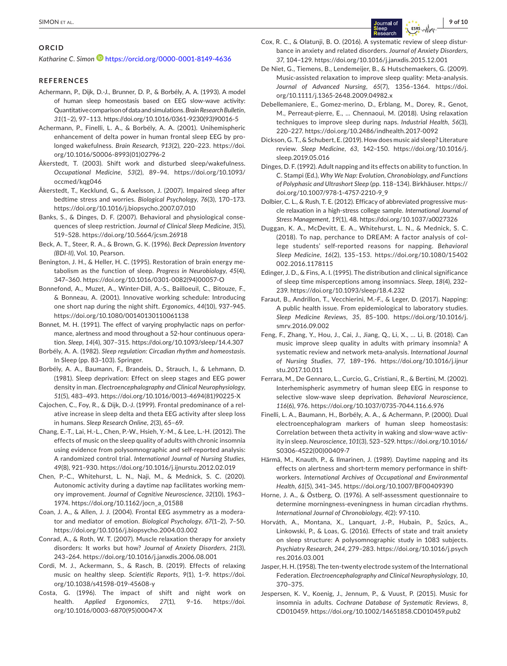#### **ORCID**

Katharine C. Simon<sup>1</sup> <https://orcid.org/0000-0001-8149-4636>

#### **REFERENCES**

- Achermann, P., Dijk, D.-J., Brunner, D. P., & Borbély, A. A. (1993). A model of human sleep homeostasis based on EEG slow-wave activity: Quantitative comparison of data and simulations. *Brain Research Bulletin*, *31*(1–2), 97–113. [https://doi.org/10.1016/0361-9230\(93\)90016-5](https://doi.org/10.1016/0361-9230(93)90016-5)
- Achermann, P., Finelli, L. A., & Borbély, A. A. (2001). Unihemispheric enhancement of delta power in human frontal sleep EEG by prolonged wakefulness. *Brain Research*, *913*(2), 220–223. [https://doi.](https://doi.org/10.1016/S0006-8993(01)02796-2) [org/10.1016/S0006-8993\(01\)02796-2](https://doi.org/10.1016/S0006-8993(01)02796-2)
- Åkerstedt, T. (2003). Shift work and disturbed sleep/wakefulness. *Occupational Medicine*, *53*(2), 89–94. [https://doi.org/10.1093/](https://doi.org/10.1093/occmed/kqg046) [occmed/kqg046](https://doi.org/10.1093/occmed/kqg046)
- Åkerstedt, T., Kecklund, G., & Axelsson, J. (2007). Impaired sleep after bedtime stress and worries. *Biological Psychology*, *76*(3), 170–173. <https://doi.org/10.1016/j.biopsycho.2007.07.010>
- Banks, S., & Dinges, D. F. (2007). Behavioral and physiological consequences of sleep restriction. *Journal of Clinical Sleep Medicine*, *3*(5), 519–528. <https://doi.org/10.5664/jcsm.26918>
- Beck, A. T., Steer, R. A., & Brown, G. K. (1996). *Beck Depression Inventory (BDI-II)*, Vol. 10, Pearson.
- Benington, J. H., & Heller, H. C. (1995). Restoration of brain energy metabolism as the function of sleep. *Progress in Neurobiology*, *45*(4), 347–360. [https://doi.org/10.1016/0301-0082\(94\)00057-O](https://doi.org/10.1016/0301-0082(94)00057-O)
- Bonnefond, A., Muzet, A., Winter-Dill, A.-S., Bailloeuil, C., Bitouze, F., & Bonneau, A. (2001). Innovative working schedule: Introducing one short nap during the night shift. *Ergonomics*, *44*(10), 937–945. <https://doi.org/10.1080/00140130110061138>
- Bonnet, M. H. (1991). The effect of varying prophylactic naps on performance, alertness and mood throughout a 52-hour continuous operation. *Sleep*, *14*(4), 307–315. <https://doi.org/10.1093/sleep/14.4.307>
- Borbély, A. A. (1982). *Sleep regulation: Circadian rhythm and homeostasis*. In Sleep (pp. 83–103). Springer.
- Borbély, A. A., Baumann, F., Brandeis, D., Strauch, I., & Lehmann, D. (1981). Sleep deprivation: Effect on sleep stages and EEG power density in man. *Electroencephalography and Clinical Neurophysiology*, *51*(5), 483–493. [https://doi.org/10.1016/0013-4694\(81\)90225-X](https://doi.org/10.1016/0013-4694(81)90225-X)
- Cajochen, C., Foy, R., & Dijk, D.-J. (1999). Frontal predominance of a relative increase in sleep delta and theta EEG activity after sleep loss in humans. *Sleep Research Online*, *2*(3), 65–69.
- Chang, E.-T., Lai, H.-L., Chen, P.-W., Hsieh, Y.-M., & Lee, L.-H. (2012). The effects of music on the sleep quality of adults with chronic insomnia using evidence from polysomnographic and self-reported analysis: A randomized control trial. *International Journal of Nursing Studies*, *49*(8), 921–930. <https://doi.org/10.1016/j.ijnurstu.2012.02.019>
- Chen, P.-C., Whitehurst, L. N., Naji, M., & Mednick, S. C. (2020). Autonomic activity during a daytime nap facilitates working memory improvement. *Journal of Cognitive Neuroscience*, *32*(10), 1963– 1974. [https://doi.org/10.1162/jocn\\_a\\_01588](https://doi.org/10.1162/jocn_a_01588)
- Coan, J. A., & Allen, J. J. (2004). Frontal EEG asymmetry as a moderator and mediator of emotion. *Biological Psychology*, *67*(1–2), 7–50. <https://doi.org/10.1016/j.biopsycho.2004.03.002>
- Conrad, A., & Roth, W. T. (2007). Muscle relaxation therapy for anxiety disorders: It works but how? *Journal of Anxiety Disorders*, *21*(3), 243–264. <https://doi.org/10.1016/j.janxdis.2006.08.001>
- Cordi, M. J., Ackermann, S., & Rasch, B. (2019). Effects of relaxing music on healthy sleep. *Scientific Reports*, *9*(1), 1–9. [https://doi.](https://doi.org/10.1038/s41598-019-45608-y) [org/10.1038/s41598-019-45608-y](https://doi.org/10.1038/s41598-019-45608-y)
- Costa, G. (1996). The impact of shift and night work on health. *Applied Ergonomics*, *27*(1), 9–16. [https://doi.](https://doi.org/10.1016/0003-6870(95)00047-X) [org/10.1016/0003-6870\(95\)00047-X](https://doi.org/10.1016/0003-6870(95)00047-X)
- Cox, R. C., & Olatunji, B. O. (2016). A systematic review of sleep disturbance in anxiety and related disorders. *Journal of Anxiety Disorders*, *37*, 104–129. <https://doi.org/10.1016/j.janxdis.2015.12.001>
- De Niet, G., Tiemens, B., Lendemeijer, B., & Hutschemaekers, G. (2009). Music-assisted relaxation to improve sleep quality: Meta-analysis. *Journal of Advanced Nursing*, *65*(7), 1356–1364. [https://doi.](https://doi.org/10.1111/j.1365-2648.2009.04982.x) [org/10.1111/j.1365-2648.2009.04982.x](https://doi.org/10.1111/j.1365-2648.2009.04982.x)
- Debellemaniere, E., Gomez-merino, D., Erblang, M., Dorey, R., Genot, M., Perreaut-pierre, E., … Chennaoui, M. (2018). Using relaxation techniques to improve sleep during naps. *Industrial Health*, *56*(3), 220–227. <https://doi.org/10.2486/indhealth.2017-0092>
- Dickson, G. T., & Schubert, E. (2019). How does music aid sleep? Literature review. *Sleep Medicine*, *63*, 142–150. [https://doi.org/10.1016/j.](https://doi.org/10.1016/j.sleep.2019.05.016) [sleep.2019.05.016](https://doi.org/10.1016/j.sleep.2019.05.016)
- Dinges, D. F. (1992). Adult napping and its effects on ability to function. In C. Stampi (Ed.), *Why We Nap: Evolution, Chronobiology, and Functions of Polyphasic and Ultrashort Sleep* (pp. 118–134). Birkhäuser. [https://](https://doi.org/10.1007/978-1-4757-2210-9_9) [doi.org/10.1007/978-1-4757-2210-9\\_9](https://doi.org/10.1007/978-1-4757-2210-9_9)
- Dolbier, C. L., & Rush, T. E. (2012). Efficacy of abbreviated progressive muscle relaxation in a high-stress college sample. *International Journal of Stress Management*, *19*(1), 48. <https://doi.org/10.1037/a0027326>
- Duggan, K. A., McDevitt, E. A., Whitehurst, L. N., & Mednick, S. C. (2018). To nap, perchance to DREAM: A factor analysis of college students' self-reported reasons for napping. *Behavioral Sleep Medicine*, *16*(2), 135–153. [https://doi.org/10.1080/15402](https://doi.org/10.1080/15402002.2016.1178115) [002.2016.1178115](https://doi.org/10.1080/15402002.2016.1178115)
- Edinger, J. D., & Fins, A. I. (1995). The distribution and clinical significance of sleep time misperceptions among insomniacs. *Sleep*, *18*(4), 232– 239. <https://doi.org/10.1093/sleep/18.4.232>
- Faraut, B., Andrillon, T., Vecchierini, M.-F., & Leger, D. (2017). Napping: A public health issue. From epidemiological to laboratory studies. *Sleep Medicine Reviews*, *35*, 85–100. [https://doi.org/10.1016/j.](https://doi.org/10.1016/j.smrv.2016.09.002) [smrv.2016.09.002](https://doi.org/10.1016/j.smrv.2016.09.002)
- Feng, F., Zhang, Y., Hou, J., Cai, J., Jiang, Q., Li, X., … Li, B. (2018). Can music improve sleep quality in adults with primary insomnia? A systematic review and network meta-analysis. *International Journal of Nursing Studies*, *77*, 189–196. [https://doi.org/10.1016/j.ijnur](https://doi.org/10.1016/j.ijnurstu.2017.10.011) [stu.2017.10.011](https://doi.org/10.1016/j.ijnurstu.2017.10.011)
- Ferrara, M., De Gennaro, L., Curcio, G., Cristiani, R., & Bertini, M. (2002). Interhemispheric asymmetry of human sleep EEG in response to selective slow-wave sleep deprivation. *Behavioral Neuroscience*, *116*(6), 976. <https://doi.org/10.1037/0735-7044.116.6.976>
- Finelli, L. A., Baumann, H., Borbély, A. A., & Achermann, P. (2000). Dual electroencephalogram markers of human sleep homeostasis: Correlation between theta activity in waking and slow-wave activity in sleep. *Neuroscience*, *101*(3), 523–529. [https://doi.org/10.1016/](https://doi.org/10.1016/S0306-4522(00)00409-7) [S0306-4522\(00\)00409-7](https://doi.org/10.1016/S0306-4522(00)00409-7)
- Härmä, M., Knauth, P., & Ilmarinen, J. (1989). Daytime napping and its effects on alertness and short-term memory performance in shiftworkers. *International Archives of Occupational and Environmental Health*, *61*(5), 341–345. <https://doi.org/10.1007/BF00409390>
- Horne, J. A., & Östberg, O. (1976). A self-assessment questionnaire to determine morningness-eveningness in human circadian rhythms. *International Journal of Chronobiology*, *4*(2): 97-110.
- Horváth, A., Montana, X., Lanquart, J.-P., Hubain, P., Szűcs, A., Linkowski, P., & Loas, G. (2016). Effects of state and trait anxiety on sleep structure: A polysomnographic study in 1083 subjects. *Psychiatry Research*, *244*, 279–283. [https://doi.org/10.1016/j.psych](https://doi.org/10.1016/j.psychres.2016.03.001) [res.2016.03.001](https://doi.org/10.1016/j.psychres.2016.03.001)
- Jasper, H. H. (1958). The ten-twenty electrode system of the International Federation. *Electroencephalography and Clinical Neurophysiology*, *10*, 370–375.
- Jespersen, K. V., Koenig, J., Jennum, P., & Vuust, P. (2015). Music for insomnia in adults. *Cochrane Database of Systematic Reviews*, *8*, CD010459. <https://doi.org/10.1002/14651858.CD010459.pub2>